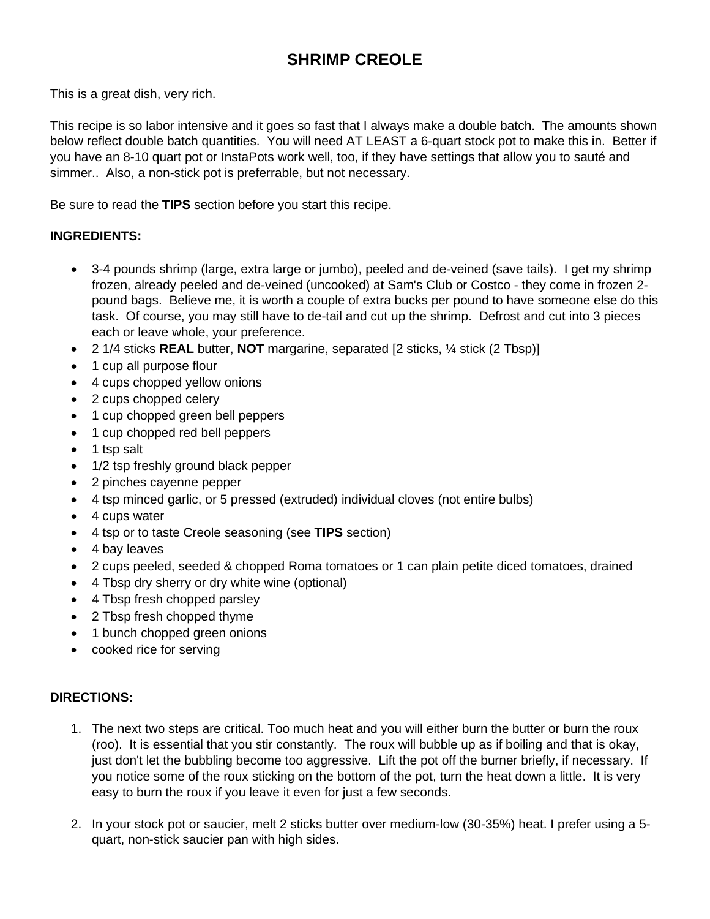## **SHRIMP CREOLE**

This is a great dish, very rich.

This recipe is so labor intensive and it goes so fast that I always make a double batch. The amounts shown below reflect double batch quantities. You will need AT LEAST a 6-quart stock pot to make this in. Better if you have an 8-10 quart pot or InstaPots work well, too, if they have settings that allow you to sauté and simmer.. Also, a non-stick pot is preferrable, but not necessary.

Be sure to read the **TIPS** section before you start this recipe.

## **INGREDIENTS:**

- 3-4 pounds shrimp (large, extra large or jumbo), peeled and de-veined (save tails). I get my shrimp frozen, already peeled and de-veined (uncooked) at Sam's Club or Costco - they come in frozen 2 pound bags. Believe me, it is worth a couple of extra bucks per pound to have someone else do this task. Of course, you may still have to de-tail and cut up the shrimp. Defrost and cut into 3 pieces each or leave whole, your preference.
- 2 1/4 sticks **REAL** butter, **NOT** margarine, separated [2 sticks, ¼ stick (2 Tbsp)]
- 1 cup all purpose flour
- 4 cups chopped yellow onions
- 2 cups chopped celery
- 1 cup chopped green bell peppers
- 1 cup chopped red bell peppers
- 1 tsp salt
- 1/2 tsp freshly ground black pepper
- 2 pinches cayenne pepper
- 4 tsp minced garlic, or 5 pressed (extruded) individual cloves (not entire bulbs)
- 4 cups water
- 4 tsp or to taste Creole seasoning (see **TIPS** section)
- 4 bay leaves
- 2 cups peeled, seeded & chopped Roma tomatoes or 1 can plain petite diced tomatoes, drained
- 4 Tbsp dry sherry or dry white wine (optional)
- 4 Tbsp fresh chopped parsley
- 2 Tbsp fresh chopped thyme
- 1 bunch chopped green onions
- cooked rice for serving

## **DIRECTIONS:**

- 1. The next two steps are critical. Too much heat and you will either burn the butter or burn the roux (roo). It is essential that you stir constantly. The roux will bubble up as if boiling and that is okay, just don't let the bubbling become too aggressive. Lift the pot off the burner briefly, if necessary. If you notice some of the roux sticking on the bottom of the pot, turn the heat down a little. It is very easy to burn the roux if you leave it even for just a few seconds.
- 2. In your stock pot or saucier, melt 2 sticks butter over medium-low (30-35%) heat. I prefer using a 5 quart, non-stick saucier pan with high sides.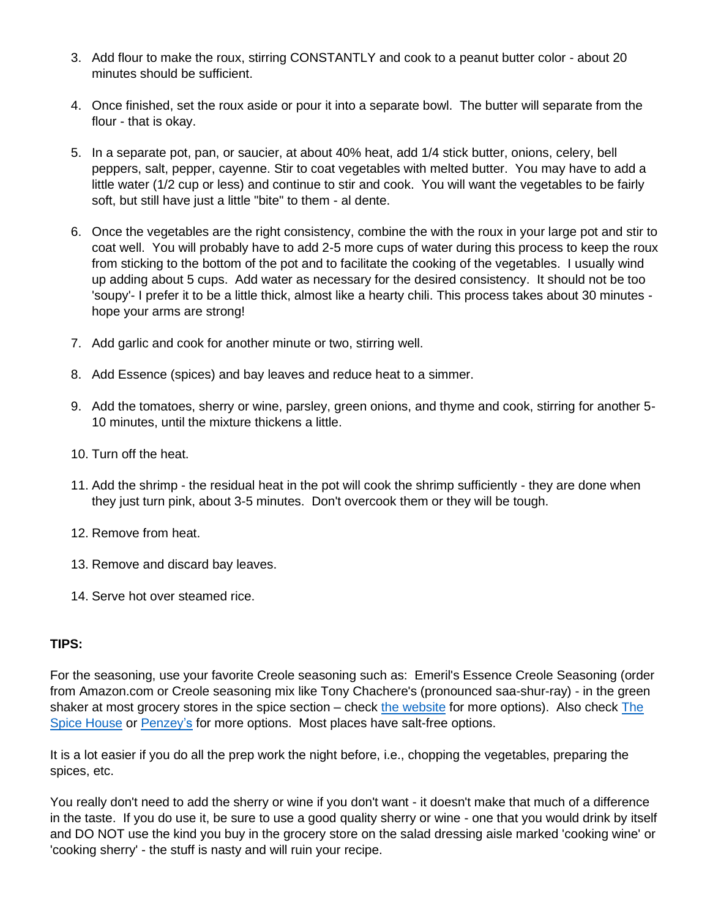- 3. Add flour to make the roux, stirring CONSTANTLY and cook to a peanut butter color about 20 minutes should be sufficient.
- 4. Once finished, set the roux aside or pour it into a separate bowl. The butter will separate from the flour - that is okay.
- 5. In a separate pot, pan, or saucier, at about 40% heat, add 1/4 stick butter, onions, celery, bell peppers, salt, pepper, cayenne. Stir to coat vegetables with melted butter. You may have to add a little water (1/2 cup or less) and continue to stir and cook. You will want the vegetables to be fairly soft, but still have just a little "bite" to them - al dente.
- 6. Once the vegetables are the right consistency, combine the with the roux in your large pot and stir to coat well. You will probably have to add 2-5 more cups of water during this process to keep the roux from sticking to the bottom of the pot and to facilitate the cooking of the vegetables. I usually wind up adding about 5 cups. Add water as necessary for the desired consistency. It should not be too 'soupy'- I prefer it to be a little thick, almost like a hearty chili. This process takes about 30 minutes hope your arms are strong!
- 7. Add garlic and cook for another minute or two, stirring well.
- 8. Add Essence (spices) and bay leaves and reduce heat to a simmer.
- 9. Add the tomatoes, sherry or wine, parsley, green onions, and thyme and cook, stirring for another 5- 10 minutes, until the mixture thickens a little.
- 10. Turn off the heat.
- 11. Add the shrimp the residual heat in the pot will cook the shrimp sufficiently they are done when they just turn pink, about 3-5 minutes. Don't overcook them or they will be tough.
- 12. Remove from heat.
- 13. Remove and discard bay leaves.
- 14. Serve hot over steamed rice.

## **TIPS:**

For the seasoning, use your favorite Creole seasoning such as: Emeril's Essence Creole Seasoning (order from Amazon.com or Creole seasoning mix like Tony Chachere's (pronounced saa-shur-ray) - in the green shaker at most grocery stores in the spice section – check [the website](https://www.tonychachere.com/) for more options). Also check [The](https://www.thespicehouse.com/)  [Spice House](https://www.thespicehouse.com/) or [Penzey's](https://www.penzeys.com/) for more options. Most places have salt-free options.

It is a lot easier if you do all the prep work the night before, i.e., chopping the vegetables, preparing the spices, etc.

You really don't need to add the sherry or wine if you don't want - it doesn't make that much of a difference in the taste. If you do use it, be sure to use a good quality sherry or wine - one that you would drink by itself and DO NOT use the kind you buy in the grocery store on the salad dressing aisle marked 'cooking wine' or 'cooking sherry' - the stuff is nasty and will ruin your recipe.